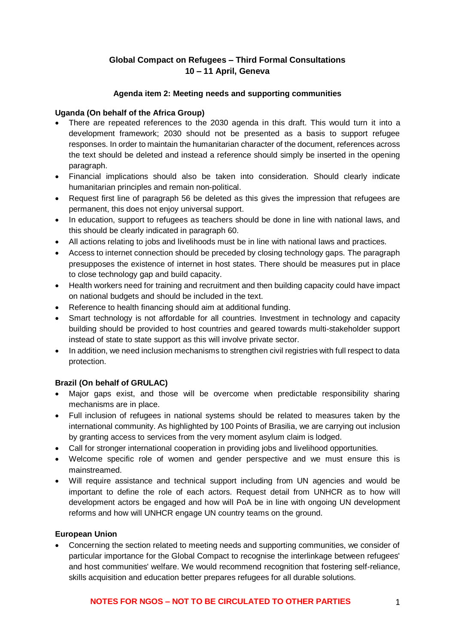# **Global Compact on Refugees – Third Formal Consultations 10 – 11 April, Geneva**

#### **Agenda item 2: Meeting needs and supporting communities**

#### **Uganda (On behalf of the Africa Group)**

- There are repeated references to the 2030 agenda in this draft. This would turn it into a development framework; 2030 should not be presented as a basis to support refugee responses. In order to maintain the humanitarian character of the document, references across the text should be deleted and instead a reference should simply be inserted in the opening paragraph.
- Financial implications should also be taken into consideration. Should clearly indicate humanitarian principles and remain non-political.
- Request first line of paragraph 56 be deleted as this gives the impression that refugees are permanent, this does not enjoy universal support.
- In education, support to refugees as teachers should be done in line with national laws, and this should be clearly indicated in paragraph 60.
- All actions relating to jobs and livelihoods must be in line with national laws and practices.
- Access to internet connection should be preceded by closing technology gaps. The paragraph presupposes the existence of internet in host states. There should be measures put in place to close technology gap and build capacity.
- Health workers need for training and recruitment and then building capacity could have impact on national budgets and should be included in the text.
- Reference to health financing should aim at additional funding.
- Smart technology is not affordable for all countries. Investment in technology and capacity building should be provided to host countries and geared towards multi-stakeholder support instead of state to state support as this will involve private sector.
- In addition, we need inclusion mechanisms to strengthen civil registries with full respect to data protection.

## **Brazil (On behalf of GRULAC)**

- Major gaps exist, and those will be overcome when predictable responsibility sharing mechanisms are in place.
- Full inclusion of refugees in national systems should be related to measures taken by the international community. As highlighted by 100 Points of Brasilia, we are carrying out inclusion by granting access to services from the very moment asylum claim is lodged.
- Call for stronger international cooperation in providing jobs and livelihood opportunities.
- Welcome specific role of women and gender perspective and we must ensure this is mainstreamed.
- Will require assistance and technical support including from UN agencies and would be important to define the role of each actors. Request detail from UNHCR as to how will development actors be engaged and how will PoA be in line with ongoing UN development reforms and how will UNHCR engage UN country teams on the ground.

## **European Union**

• Concerning the section related to meeting needs and supporting communities, we consider of particular importance for the Global Compact to recognise the interlinkage between refugees' and host communities' welfare. We would recommend recognition that fostering self-reliance, skills acquisition and education better prepares refugees for all durable solutions.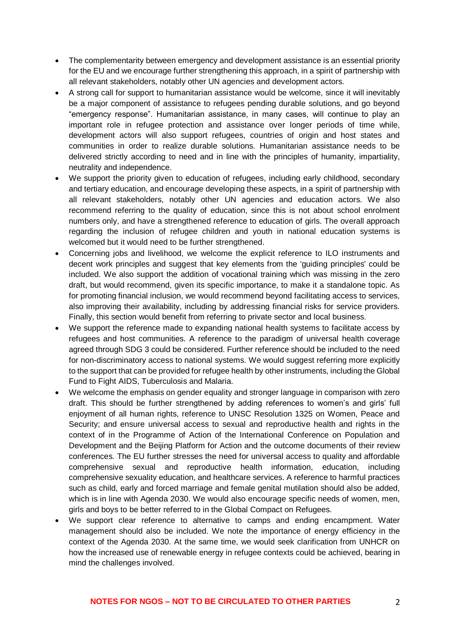- The complementarity between emergency and development assistance is an essential priority for the EU and we encourage further strengthening this approach, in a spirit of partnership with all relevant stakeholders, notably other UN agencies and development actors.
- A strong call for support to humanitarian assistance would be welcome, since it will inevitably be a major component of assistance to refugees pending durable solutions, and go beyond "emergency response". Humanitarian assistance, in many cases, will continue to play an important role in refugee protection and assistance over longer periods of time while, development actors will also support refugees, countries of origin and host states and communities in order to realize durable solutions. Humanitarian assistance needs to be delivered strictly according to need and in line with the principles of humanity, impartiality, neutrality and independence.
- We support the priority given to education of refugees, including early childhood, secondary and tertiary education, and encourage developing these aspects, in a spirit of partnership with all relevant stakeholders, notably other UN agencies and education actors. We also recommend referring to the quality of education, since this is not about school enrolment numbers only, and have a strengthened reference to education of girls. The overall approach regarding the inclusion of refugee children and youth in national education systems is welcomed but it would need to be further strengthened.
- Concerning jobs and livelihood, we welcome the explicit reference to ILO instruments and decent work principles and suggest that key elements from the 'guiding principles' could be included. We also support the addition of vocational training which was missing in the zero draft, but would recommend, given its specific importance, to make it a standalone topic. As for promoting financial inclusion, we would recommend beyond facilitating access to services, also improving their availability, including by addressing financial risks for service providers. Finally, this section would benefit from referring to private sector and local business.
- We support the reference made to expanding national health systems to facilitate access by refugees and host communities. A reference to the paradigm of universal health coverage agreed through SDG 3 could be considered. Further reference should be included to the need for non-discriminatory access to national systems. We would suggest referring more explicitly to the support that can be provided for refugee health by other instruments, including the Global Fund to Fight AIDS, Tuberculosis and Malaria.
- We welcome the emphasis on gender equality and stronger language in comparison with zero draft. This should be further strengthened by adding references to women's and girls' full enjoyment of all human rights, reference to UNSC Resolution 1325 on Women, Peace and Security; and ensure universal access to sexual and reproductive health and rights in the context of in the Programme of Action of the International Conference on Population and Development and the Beijing Platform for Action and the outcome documents of their review conferences. The EU further stresses the need for universal access to quality and affordable comprehensive sexual and reproductive health information, education, including comprehensive sexuality education, and healthcare services. A reference to harmful practices such as child, early and forced marriage and female genital mutilation should also be added, which is in line with Agenda 2030. We would also encourage specific needs of women, men, girls and boys to be better referred to in the Global Compact on Refugees.
- We support clear reference to alternative to camps and ending encampment. Water management should also be included. We note the importance of energy efficiency in the context of the Agenda 2030. At the same time, we would seek clarification from UNHCR on how the increased use of renewable energy in refugee contexts could be achieved, bearing in mind the challenges involved.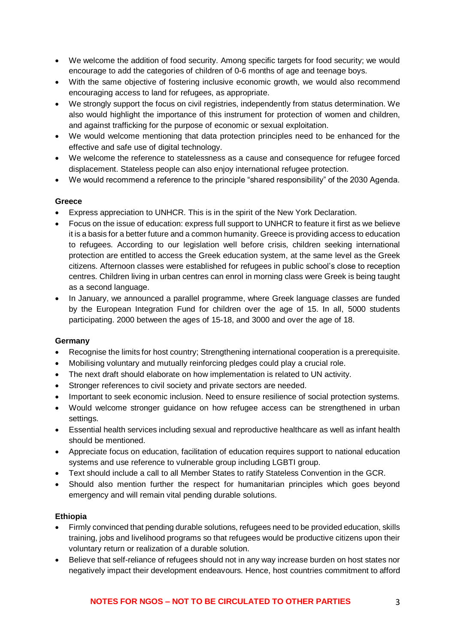- We welcome the addition of food security. Among specific targets for food security; we would encourage to add the categories of children of 0-6 months of age and teenage boys.
- With the same objective of fostering inclusive economic growth, we would also recommend encouraging access to land for refugees, as appropriate.
- We strongly support the focus on civil registries, independently from status determination. We also would highlight the importance of this instrument for protection of women and children, and against trafficking for the purpose of economic or sexual exploitation.
- We would welcome mentioning that data protection principles need to be enhanced for the effective and safe use of digital technology.
- We welcome the reference to statelessness as a cause and consequence for refugee forced displacement. Stateless people can also enjoy international refugee protection.
- We would recommend a reference to the principle "shared responsibility" of the 2030 Agenda.

## **Greece**

- Express appreciation to UNHCR. This is in the spirit of the New York Declaration.
- Focus on the issue of education: express full support to UNHCR to feature it first as we believe it is a basis for a better future and a common humanity. Greece is providing access to education to refugees. According to our legislation well before crisis, children seeking international protection are entitled to access the Greek education system, at the same level as the Greek citizens. Afternoon classes were established for refugees in public school's close to reception centres. Children living in urban centres can enrol in morning class were Greek is being taught as a second language.
- In January, we announced a parallel programme, where Greek language classes are funded by the European Integration Fund for children over the age of 15. In all, 5000 students participating. 2000 between the ages of 15-18, and 3000 and over the age of 18.

## **Germany**

- Recognise the limits for host country; Strengthening international cooperation is a prerequisite.
- Mobilising voluntary and mutually reinforcing pledges could play a crucial role.
- The next draft should elaborate on how implementation is related to UN activity.
- Stronger references to civil society and private sectors are needed.
- Important to seek economic inclusion. Need to ensure resilience of social protection systems.
- Would welcome stronger guidance on how refugee access can be strengthened in urban settings.
- Essential health services including sexual and reproductive healthcare as well as infant health should be mentioned.
- Appreciate focus on education, facilitation of education requires support to national education systems and use reference to vulnerable group including LGBTI group.
- Text should include a call to all Member States to ratify Stateless Convention in the GCR.
- Should also mention further the respect for humanitarian principles which goes beyond emergency and will remain vital pending durable solutions.

## **Ethiopia**

- Firmly convinced that pending durable solutions, refugees need to be provided education, skills training, jobs and livelihood programs so that refugees would be productive citizens upon their voluntary return or realization of a durable solution.
- Believe that self-reliance of refugees should not in any way increase burden on host states nor negatively impact their development endeavours. Hence, host countries commitment to afford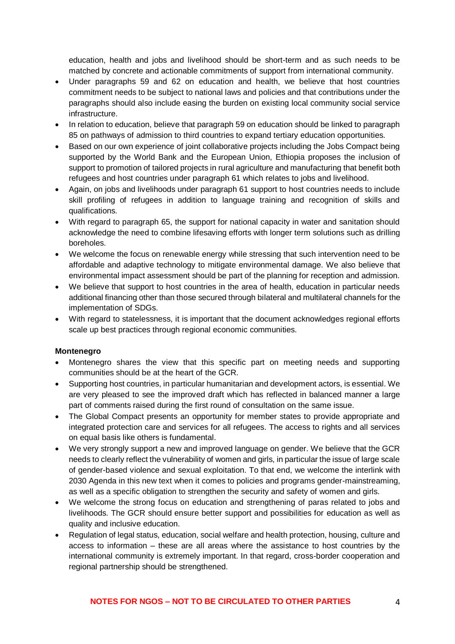education, health and jobs and livelihood should be short-term and as such needs to be matched by concrete and actionable commitments of support from international community.

- Under paragraphs 59 and 62 on education and health, we believe that host countries commitment needs to be subject to national laws and policies and that contributions under the paragraphs should also include easing the burden on existing local community social service infrastructure.
- In relation to education, believe that paragraph 59 on education should be linked to paragraph 85 on pathways of admission to third countries to expand tertiary education opportunities.
- Based on our own experience of joint collaborative projects including the Jobs Compact being supported by the World Bank and the European Union, Ethiopia proposes the inclusion of support to promotion of tailored projects in rural agriculture and manufacturing that benefit both refugees and host countries under paragraph 61 which relates to jobs and livelihood.
- Again, on jobs and livelihoods under paragraph 61 support to host countries needs to include skill profiling of refugees in addition to language training and recognition of skills and qualifications.
- With regard to paragraph 65, the support for national capacity in water and sanitation should acknowledge the need to combine lifesaving efforts with longer term solutions such as drilling boreholes.
- We welcome the focus on renewable energy while stressing that such intervention need to be affordable and adaptive technology to mitigate environmental damage. We also believe that environmental impact assessment should be part of the planning for reception and admission.
- We believe that support to host countries in the area of health, education in particular needs additional financing other than those secured through bilateral and multilateral channels for the implementation of SDGs.
- With regard to statelessness, it is important that the document acknowledges regional efforts scale up best practices through regional economic communities.

## **Montenegro**

- Montenegro shares the view that this specific part on meeting needs and supporting communities should be at the heart of the GCR.
- Supporting host countries, in particular humanitarian and development actors, is essential. We are very pleased to see the improved draft which has reflected in balanced manner a large part of comments raised during the first round of consultation on the same issue.
- The Global Compact presents an opportunity for member states to provide appropriate and integrated protection care and services for all refugees. The access to rights and all services on equal basis like others is fundamental.
- We very strongly support a new and improved language on gender. We believe that the GCR needs to clearly reflect the vulnerability of women and girls, in particular the issue of large scale of gender-based violence and sexual exploitation. To that end, we welcome the interlink with 2030 Agenda in this new text when it comes to policies and programs gender-mainstreaming, as well as a specific obligation to strengthen the security and safety of women and girls.
- We welcome the strong focus on education and strengthening of paras related to jobs and livelihoods. The GCR should ensure better support and possibilities for education as well as quality and inclusive education.
- Regulation of legal status, education, social welfare and health protection, housing, culture and access to information – these are all areas where the assistance to host countries by the international community is extremely important. In that regard, cross-border cooperation and regional partnership should be strengthened.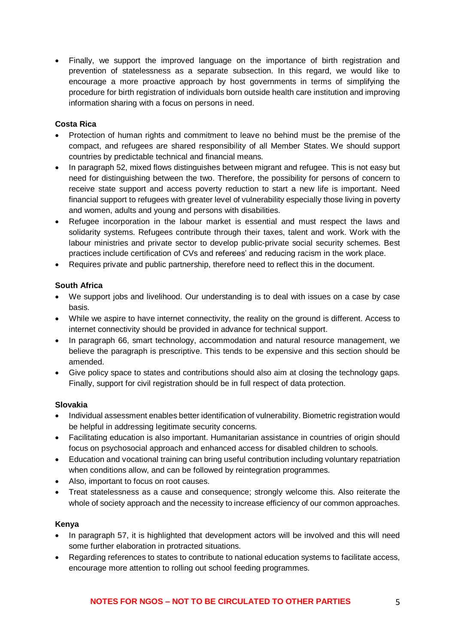• Finally, we support the improved language on the importance of birth registration and prevention of statelessness as a separate subsection. In this regard, we would like to encourage a more proactive approach by host governments in terms of simplifying the procedure for birth registration of individuals born outside health care institution and improving information sharing with a focus on persons in need.

## **Costa Rica**

- Protection of human rights and commitment to leave no behind must be the premise of the compact, and refugees are shared responsibility of all Member States. We should support countries by predictable technical and financial means.
- In paragraph 52, mixed flows distinguishes between migrant and refugee. This is not easy but need for distinguishing between the two. Therefore, the possibility for persons of concern to receive state support and access poverty reduction to start a new life is important. Need financial support to refugees with greater level of vulnerability especially those living in poverty and women, adults and young and persons with disabilities.
- Refugee incorporation in the labour market is essential and must respect the laws and solidarity systems. Refugees contribute through their taxes, talent and work. Work with the labour ministries and private sector to develop public-private social security schemes. Best practices include certification of CVs and referees' and reducing racism in the work place.
- Requires private and public partnership, therefore need to reflect this in the document.

## **South Africa**

- We support jobs and livelihood. Our understanding is to deal with issues on a case by case basis.
- While we aspire to have internet connectivity, the reality on the ground is different. Access to internet connectivity should be provided in advance for technical support.
- In paragraph 66, smart technology, accommodation and natural resource management, we believe the paragraph is prescriptive. This tends to be expensive and this section should be amended.
- Give policy space to states and contributions should also aim at closing the technology gaps. Finally, support for civil registration should be in full respect of data protection.

## **Slovakia**

- Individual assessment enables better identification of vulnerability. Biometric registration would be helpful in addressing legitimate security concerns.
- Facilitating education is also important. Humanitarian assistance in countries of origin should focus on psychosocial approach and enhanced access for disabled children to schools.
- Education and vocational training can bring useful contribution including voluntary repatriation when conditions allow, and can be followed by reintegration programmes.
- Also, important to focus on root causes.
- Treat statelessness as a cause and consequence; strongly welcome this. Also reiterate the whole of society approach and the necessity to increase efficiency of our common approaches.

## **Kenya**

- In paragraph 57, it is highlighted that development actors will be involved and this will need some further elaboration in protracted situations.
- Regarding references to states to contribute to national education systems to facilitate access, encourage more attention to rolling out school feeding programmes.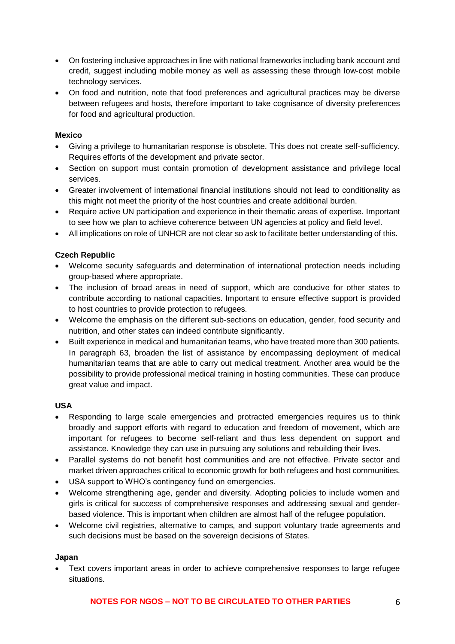- On fostering inclusive approaches in line with national frameworks including bank account and credit, suggest including mobile money as well as assessing these through low-cost mobile technology services.
- On food and nutrition, note that food preferences and agricultural practices may be diverse between refugees and hosts, therefore important to take cognisance of diversity preferences for food and agricultural production.

## **Mexico**

- Giving a privilege to humanitarian response is obsolete. This does not create self-sufficiency. Requires efforts of the development and private sector.
- Section on support must contain promotion of development assistance and privilege local services.
- Greater involvement of international financial institutions should not lead to conditionality as this might not meet the priority of the host countries and create additional burden.
- Require active UN participation and experience in their thematic areas of expertise. Important to see how we plan to achieve coherence between UN agencies at policy and field level.
- All implications on role of UNHCR are not clear so ask to facilitate better understanding of this.

## **Czech Republic**

- Welcome security safeguards and determination of international protection needs including group-based where appropriate.
- The inclusion of broad areas in need of support, which are conducive for other states to contribute according to national capacities. Important to ensure effective support is provided to host countries to provide protection to refugees.
- Welcome the emphasis on the different sub-sections on education, gender, food security and nutrition, and other states can indeed contribute significantly.
- Built experience in medical and humanitarian teams, who have treated more than 300 patients. In paragraph 63, broaden the list of assistance by encompassing deployment of medical humanitarian teams that are able to carry out medical treatment. Another area would be the possibility to provide professional medical training in hosting communities. These can produce great value and impact.

## **USA**

- Responding to large scale emergencies and protracted emergencies requires us to think broadly and support efforts with regard to education and freedom of movement, which are important for refugees to become self-reliant and thus less dependent on support and assistance. Knowledge they can use in pursuing any solutions and rebuilding their lives.
- Parallel systems do not benefit host communities and are not effective. Private sector and market driven approaches critical to economic growth for both refugees and host communities.
- USA support to WHO's contingency fund on emergencies.
- Welcome strengthening age, gender and diversity. Adopting policies to include women and girls is critical for success of comprehensive responses and addressing sexual and genderbased violence. This is important when children are almost half of the refugee population.
- Welcome civil registries, alternative to camps, and support voluntary trade agreements and such decisions must be based on the sovereign decisions of States.

## **Japan**

• Text covers important areas in order to achieve comprehensive responses to large refugee situations.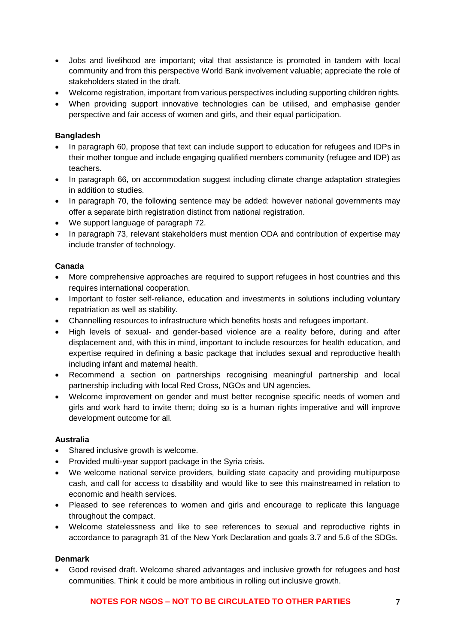- Jobs and livelihood are important; vital that assistance is promoted in tandem with local community and from this perspective World Bank involvement valuable; appreciate the role of stakeholders stated in the draft.
- Welcome registration, important from various perspectives including supporting children rights.
- When providing support innovative technologies can be utilised, and emphasise gender perspective and fair access of women and girls, and their equal participation.

## **Bangladesh**

- In paragraph 60, propose that text can include support to education for refugees and IDPs in their mother tongue and include engaging qualified members community (refugee and IDP) as teachers.
- In paragraph 66, on accommodation suggest including climate change adaptation strategies in addition to studies.
- In paragraph 70, the following sentence may be added: however national governments may offer a separate birth registration distinct from national registration.
- We support language of paragraph 72.
- In paragraph 73, relevant stakeholders must mention ODA and contribution of expertise may include transfer of technology.

## **Canada**

- More comprehensive approaches are required to support refugees in host countries and this requires international cooperation.
- Important to foster self-reliance, education and investments in solutions including voluntary repatriation as well as stability.
- Channelling resources to infrastructure which benefits hosts and refugees important.
- High levels of sexual- and gender-based violence are a reality before, during and after displacement and, with this in mind, important to include resources for health education, and expertise required in defining a basic package that includes sexual and reproductive health including infant and maternal health.
- Recommend a section on partnerships recognising meaningful partnership and local partnership including with local Red Cross, NGOs and UN agencies.
- Welcome improvement on gender and must better recognise specific needs of women and girls and work hard to invite them; doing so is a human rights imperative and will improve development outcome for all.

## **Australia**

- Shared inclusive growth is welcome.
- Provided multi-year support package in the Syria crisis.
- We welcome national service providers, building state capacity and providing multipurpose cash, and call for access to disability and would like to see this mainstreamed in relation to economic and health services.
- Pleased to see references to women and girls and encourage to replicate this language throughout the compact.
- Welcome statelessness and like to see references to sexual and reproductive rights in accordance to paragraph 31 of the New York Declaration and goals 3.7 and 5.6 of the SDGs.

## **Denmark**

• Good revised draft. Welcome shared advantages and inclusive growth for refugees and host communities. Think it could be more ambitious in rolling out inclusive growth.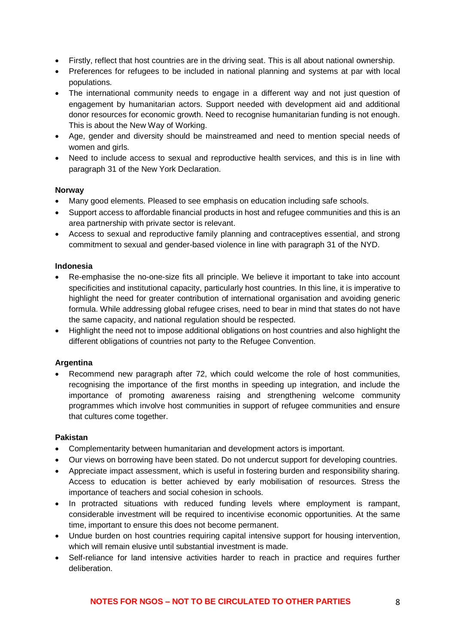- Firstly, reflect that host countries are in the driving seat. This is all about national ownership.
- Preferences for refugees to be included in national planning and systems at par with local populations.
- The international community needs to engage in a different way and not just question of engagement by humanitarian actors. Support needed with development aid and additional donor resources for economic growth. Need to recognise humanitarian funding is not enough. This is about the New Way of Working.
- Age, gender and diversity should be mainstreamed and need to mention special needs of women and girls.
- Need to include access to sexual and reproductive health services, and this is in line with paragraph 31 of the New York Declaration.

## **Norway**

- Many good elements. Pleased to see emphasis on education including safe schools.
- Support access to affordable financial products in host and refugee communities and this is an area partnership with private sector is relevant.
- Access to sexual and reproductive family planning and contraceptives essential, and strong commitment to sexual and gender-based violence in line with paragraph 31 of the NYD.

## **Indonesia**

- Re-emphasise the no-one-size fits all principle. We believe it important to take into account specificities and institutional capacity, particularly host countries. In this line, it is imperative to highlight the need for greater contribution of international organisation and avoiding generic formula. While addressing global refugee crises, need to bear in mind that states do not have the same capacity, and national regulation should be respected.
- Highlight the need not to impose additional obligations on host countries and also highlight the different obligations of countries not party to the Refugee Convention.

## **Argentina**

• Recommend new paragraph after 72, which could welcome the role of host communities, recognising the importance of the first months in speeding up integration, and include the importance of promoting awareness raising and strengthening welcome community programmes which involve host communities in support of refugee communities and ensure that cultures come together.

## **Pakistan**

- Complementarity between humanitarian and development actors is important.
- Our views on borrowing have been stated. Do not undercut support for developing countries.
- Appreciate impact assessment, which is useful in fostering burden and responsibility sharing. Access to education is better achieved by early mobilisation of resources. Stress the importance of teachers and social cohesion in schools.
- In protracted situations with reduced funding levels where employment is rampant, considerable investment will be required to incentivise economic opportunities. At the same time, important to ensure this does not become permanent.
- Undue burden on host countries requiring capital intensive support for housing intervention, which will remain elusive until substantial investment is made.
- Self-reliance for land intensive activities harder to reach in practice and requires further deliberation.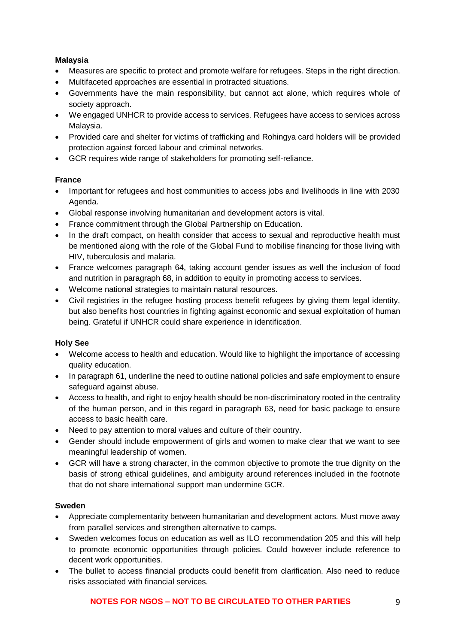# **Malaysia**

- Measures are specific to protect and promote welfare for refugees. Steps in the right direction.
- Multifaceted approaches are essential in protracted situations.
- Governments have the main responsibility, but cannot act alone, which requires whole of society approach.
- We engaged UNHCR to provide access to services. Refugees have access to services across Malaysia.
- Provided care and shelter for victims of trafficking and Rohingya card holders will be provided protection against forced labour and criminal networks.
- GCR requires wide range of stakeholders for promoting self-reliance.

## **France**

- Important for refugees and host communities to access jobs and livelihoods in line with 2030 Agenda.
- Global response involving humanitarian and development actors is vital.
- France commitment through the Global Partnership on Education.
- In the draft compact, on health consider that access to sexual and reproductive health must be mentioned along with the role of the Global Fund to mobilise financing for those living with HIV, tuberculosis and malaria.
- France welcomes paragraph 64, taking account gender issues as well the inclusion of food and nutrition in paragraph 68, in addition to equity in promoting access to services.
- Welcome national strategies to maintain natural resources.
- Civil registries in the refugee hosting process benefit refugees by giving them legal identity, but also benefits host countries in fighting against economic and sexual exploitation of human being. Grateful if UNHCR could share experience in identification.

# **Holy See**

- Welcome access to health and education. Would like to highlight the importance of accessing quality education.
- In paragraph 61, underline the need to outline national policies and safe employment to ensure safeguard against abuse.
- Access to health, and right to enjoy health should be non-discriminatory rooted in the centrality of the human person, and in this regard in paragraph 63, need for basic package to ensure access to basic health care.
- Need to pay attention to moral values and culture of their country.
- Gender should include empowerment of girls and women to make clear that we want to see meaningful leadership of women.
- GCR will have a strong character, in the common objective to promote the true dignity on the basis of strong ethical guidelines, and ambiguity around references included in the footnote that do not share international support man undermine GCR.

# **Sweden**

- Appreciate complementarity between humanitarian and development actors. Must move away from parallel services and strengthen alternative to camps.
- Sweden welcomes focus on education as well as ILO recommendation 205 and this will help to promote economic opportunities through policies. Could however include reference to decent work opportunities.
- The bullet to access financial products could benefit from clarification. Also need to reduce risks associated with financial services.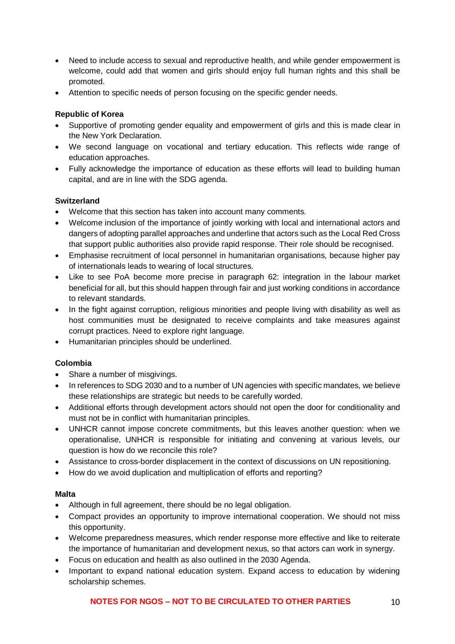- Need to include access to sexual and reproductive health, and while gender empowerment is welcome, could add that women and girls should enjoy full human rights and this shall be promoted.
- Attention to specific needs of person focusing on the specific gender needs.

## **Republic of Korea**

- Supportive of promoting gender equality and empowerment of girls and this is made clear in the New York Declaration.
- We second language on vocational and tertiary education. This reflects wide range of education approaches.
- Fully acknowledge the importance of education as these efforts will lead to building human capital, and are in line with the SDG agenda.

## **Switzerland**

- Welcome that this section has taken into account many comments.
- Welcome inclusion of the importance of jointly working with local and international actors and dangers of adopting parallel approaches and underline that actors such as the Local Red Cross that support public authorities also provide rapid response. Their role should be recognised.
- Emphasise recruitment of local personnel in humanitarian organisations, because higher pay of internationals leads to wearing of local structures.
- Like to see PoA become more precise in paragraph 62: integration in the labour market beneficial for all, but this should happen through fair and just working conditions in accordance to relevant standards.
- In the fight against corruption, religious minorities and people living with disability as well as host communities must be designated to receive complaints and take measures against corrupt practices. Need to explore right language.
- Humanitarian principles should be underlined.

## **Colombia**

- Share a number of misgivings.
- In references to SDG 2030 and to a number of UN agencies with specific mandates, we believe these relationships are strategic but needs to be carefully worded.
- Additional efforts through development actors should not open the door for conditionality and must not be in conflict with humanitarian principles.
- UNHCR cannot impose concrete commitments, but this leaves another question: when we operationalise, UNHCR is responsible for initiating and convening at various levels, our question is how do we reconcile this role?
- Assistance to cross-border displacement in the context of discussions on UN repositioning.
- How do we avoid duplication and multiplication of efforts and reporting?

## **Malta**

- Although in full agreement, there should be no legal obligation.
- Compact provides an opportunity to improve international cooperation. We should not miss this opportunity.
- Welcome preparedness measures, which render response more effective and like to reiterate the importance of humanitarian and development nexus, so that actors can work in synergy.
- Focus on education and health as also outlined in the 2030 Agenda.
- Important to expand national education system. Expand access to education by widening scholarship schemes.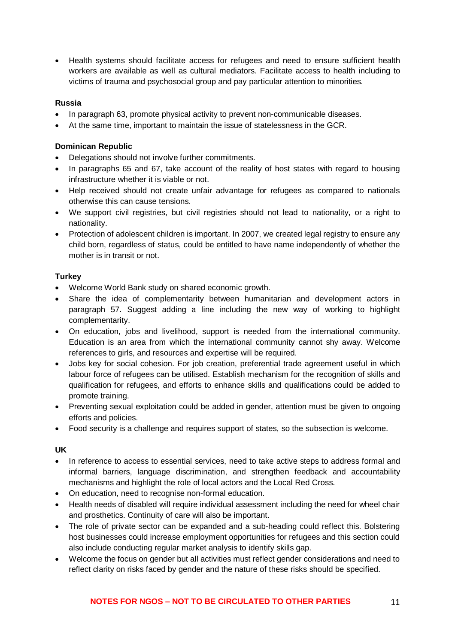• Health systems should facilitate access for refugees and need to ensure sufficient health workers are available as well as cultural mediators. Facilitate access to health including to victims of trauma and psychosocial group and pay particular attention to minorities.

## **Russia**

- In paragraph 63, promote physical activity to prevent non-communicable diseases.
- At the same time, important to maintain the issue of statelessness in the GCR.

## **Dominican Republic**

- Delegations should not involve further commitments.
- In paragraphs 65 and 67, take account of the reality of host states with regard to housing infrastructure whether it is viable or not.
- Help received should not create unfair advantage for refugees as compared to nationals otherwise this can cause tensions.
- We support civil registries, but civil registries should not lead to nationality, or a right to nationality.
- Protection of adolescent children is important. In 2007, we created legal registry to ensure any child born, regardless of status, could be entitled to have name independently of whether the mother is in transit or not.

# **Turkey**

- Welcome World Bank study on shared economic growth.
- Share the idea of complementarity between humanitarian and development actors in paragraph 57. Suggest adding a line including the new way of working to highlight complementarity.
- On education, jobs and livelihood, support is needed from the international community. Education is an area from which the international community cannot shy away. Welcome references to girls, and resources and expertise will be required.
- Jobs key for social cohesion. For job creation, preferential trade agreement useful in which labour force of refugees can be utilised. Establish mechanism for the recognition of skills and qualification for refugees, and efforts to enhance skills and qualifications could be added to promote training.
- Preventing sexual exploitation could be added in gender, attention must be given to ongoing efforts and policies.
- Food security is a challenge and requires support of states, so the subsection is welcome.

# **UK**

- In reference to access to essential services, need to take active steps to address formal and informal barriers, language discrimination, and strengthen feedback and accountability mechanisms and highlight the role of local actors and the Local Red Cross.
- On education, need to recognise non-formal education.
- Health needs of disabled will require individual assessment including the need for wheel chair and prosthetics. Continuity of care will also be important.
- The role of private sector can be expanded and a sub-heading could reflect this. Bolstering host businesses could increase employment opportunities for refugees and this section could also include conducting regular market analysis to identify skills gap.
- Welcome the focus on gender but all activities must reflect gender considerations and need to reflect clarity on risks faced by gender and the nature of these risks should be specified.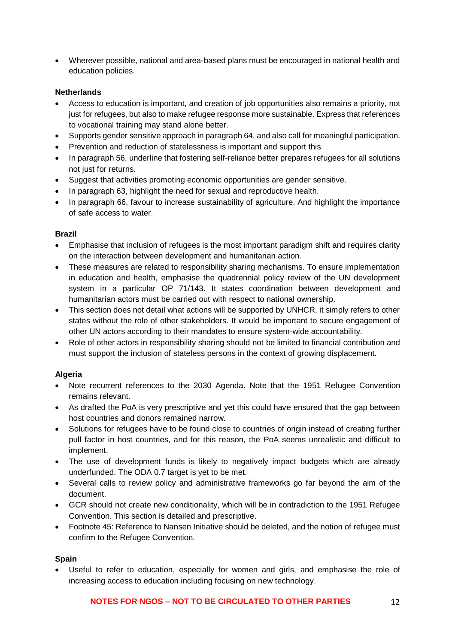• Wherever possible, national and area-based plans must be encouraged in national health and education policies.

## **Netherlands**

- Access to education is important, and creation of job opportunities also remains a priority, not just for refugees, but also to make refugee response more sustainable. Express that references to vocational training may stand alone better.
- Supports gender sensitive approach in paragraph 64, and also call for meaningful participation.
- Prevention and reduction of statelessness is important and support this.
- In paragraph 56, underline that fostering self-reliance better prepares refugees for all solutions not just for returns.
- Suggest that activities promoting economic opportunities are gender sensitive.
- In paragraph 63, highlight the need for sexual and reproductive health.
- In paragraph 66, favour to increase sustainability of agriculture. And highlight the importance of safe access to water.

## **Brazil**

- Emphasise that inclusion of refugees is the most important paradigm shift and requires clarity on the interaction between development and humanitarian action.
- These measures are related to responsibility sharing mechanisms. To ensure implementation in education and health, emphasise the quadrennial policy review of the UN development system in a particular OP 71/143. It states coordination between development and humanitarian actors must be carried out with respect to national ownership.
- This section does not detail what actions will be supported by UNHCR, it simply refers to other states without the role of other stakeholders. It would be important to secure engagement of other UN actors according to their mandates to ensure system-wide accountability.
- Role of other actors in responsibility sharing should not be limited to financial contribution and must support the inclusion of stateless persons in the context of growing displacement.

## **Algeria**

- Note recurrent references to the 2030 Agenda. Note that the 1951 Refugee Convention remains relevant.
- As drafted the PoA is very prescriptive and yet this could have ensured that the gap between host countries and donors remained narrow.
- Solutions for refugees have to be found close to countries of origin instead of creating further pull factor in host countries, and for this reason, the PoA seems unrealistic and difficult to implement.
- The use of development funds is likely to negatively impact budgets which are already underfunded. The ODA 0.7 target is yet to be met.
- Several calls to review policy and administrative frameworks go far beyond the aim of the document.
- GCR should not create new conditionality, which will be in contradiction to the 1951 Refugee Convention. This section is detailed and prescriptive.
- Footnote 45: Reference to Nansen Initiative should be deleted, and the notion of refugee must confirm to the Refugee Convention.

## **Spain**

• Useful to refer to education, especially for women and girls, and emphasise the role of increasing access to education including focusing on new technology.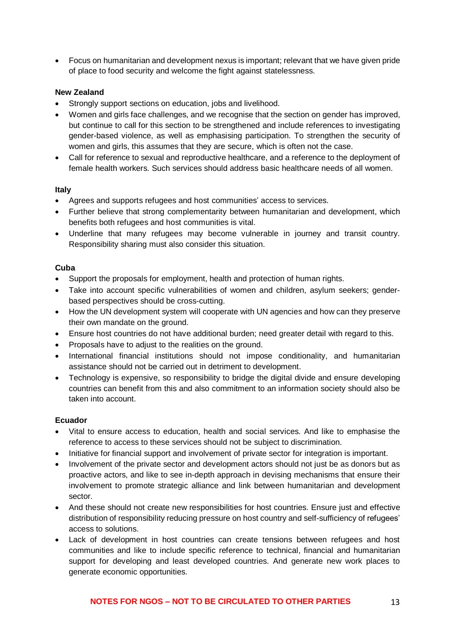• Focus on humanitarian and development nexus is important; relevant that we have given pride of place to food security and welcome the fight against statelessness.

## **New Zealand**

- Strongly support sections on education, jobs and livelihood.
- Women and girls face challenges, and we recognise that the section on gender has improved, but continue to call for this section to be strengthened and include references to investigating gender-based violence, as well as emphasising participation. To strengthen the security of women and girls, this assumes that they are secure, which is often not the case.
- Call for reference to sexual and reproductive healthcare, and a reference to the deployment of female health workers. Such services should address basic healthcare needs of all women.

#### **Italy**

- Agrees and supports refugees and host communities' access to services.
- Further believe that strong complementarity between humanitarian and development, which benefits both refugees and host communities is vital.
- Underline that many refugees may become vulnerable in journey and transit country. Responsibility sharing must also consider this situation.

#### **Cuba**

- Support the proposals for employment, health and protection of human rights.
- Take into account specific vulnerabilities of women and children, asylum seekers; genderbased perspectives should be cross-cutting.
- How the UN development system will cooperate with UN agencies and how can they preserve their own mandate on the ground.
- Ensure host countries do not have additional burden; need greater detail with regard to this.
- Proposals have to adjust to the realities on the ground.
- International financial institutions should not impose conditionality, and humanitarian assistance should not be carried out in detriment to development.
- Technology is expensive, so responsibility to bridge the digital divide and ensure developing countries can benefit from this and also commitment to an information society should also be taken into account.

## **Ecuador**

- Vital to ensure access to education, health and social services. And like to emphasise the reference to access to these services should not be subject to discrimination.
- Initiative for financial support and involvement of private sector for integration is important.
- Involvement of the private sector and development actors should not just be as donors but as proactive actors, and like to see in-depth approach in devising mechanisms that ensure their involvement to promote strategic alliance and link between humanitarian and development sector.
- And these should not create new responsibilities for host countries. Ensure just and effective distribution of responsibility reducing pressure on host country and self-sufficiency of refugees' access to solutions.
- Lack of development in host countries can create tensions between refugees and host communities and like to include specific reference to technical, financial and humanitarian support for developing and least developed countries. And generate new work places to generate economic opportunities.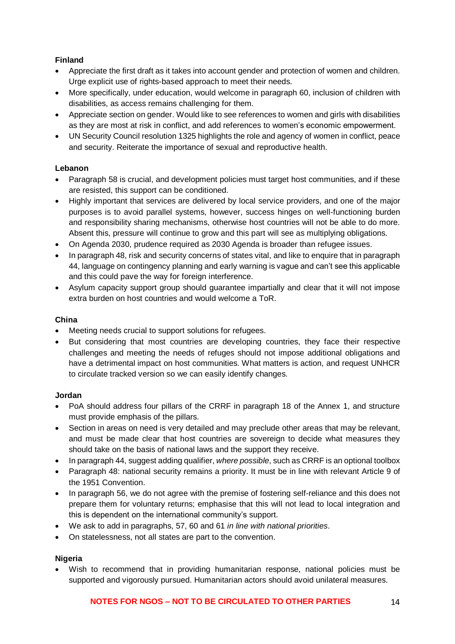# **Finland**

- Appreciate the first draft as it takes into account gender and protection of women and children. Urge explicit use of rights-based approach to meet their needs.
- More specifically, under education, would welcome in paragraph 60, inclusion of children with disabilities, as access remains challenging for them.
- Appreciate section on gender. Would like to see references to women and girls with disabilities as they are most at risk in conflict, and add references to women's economic empowerment.
- UN Security Council resolution 1325 highlights the role and agency of women in conflict, peace and security. Reiterate the importance of sexual and reproductive health.

## **Lebanon**

- Paragraph 58 is crucial, and development policies must target host communities, and if these are resisted, this support can be conditioned.
- Highly important that services are delivered by local service providers, and one of the major purposes is to avoid parallel systems, however, success hinges on well-functioning burden and responsibility sharing mechanisms, otherwise host countries will not be able to do more. Absent this, pressure will continue to grow and this part will see as multiplying obligations.
- On Agenda 2030, prudence required as 2030 Agenda is broader than refugee issues.
- In paragraph 48, risk and security concerns of states vital, and like to enguire that in paragraph 44, language on contingency planning and early warning is vague and can't see this applicable and this could pave the way for foreign interference.
- Asylum capacity support group should guarantee impartially and clear that it will not impose extra burden on host countries and would welcome a ToR.

## **China**

- Meeting needs crucial to support solutions for refugees.
- But considering that most countries are developing countries, they face their respective challenges and meeting the needs of refuges should not impose additional obligations and have a detrimental impact on host communities. What matters is action, and request UNHCR to circulate tracked version so we can easily identify changes.

## **Jordan**

- PoA should address four pillars of the CRRF in paragraph 18 of the Annex 1, and structure must provide emphasis of the pillars.
- Section in areas on need is very detailed and may preclude other areas that may be relevant, and must be made clear that host countries are sovereign to decide what measures they should take on the basis of national laws and the support they receive.
- In paragraph 44, suggest adding qualifier, *where possible*, such as CRRF is an optional toolbox
- Paragraph 48: national security remains a priority. It must be in line with relevant Article 9 of the 1951 Convention.
- In paragraph 56, we do not agree with the premise of fostering self-reliance and this does not prepare them for voluntary returns; emphasise that this will not lead to local integration and this is dependent on the international community's support.
- We ask to add in paragraphs, 57, 60 and 61 *in line with national priorities*.
- On statelessness, not all states are part to the convention.

## **Nigeria**

• Wish to recommend that in providing humanitarian response, national policies must be supported and vigorously pursued. Humanitarian actors should avoid unilateral measures.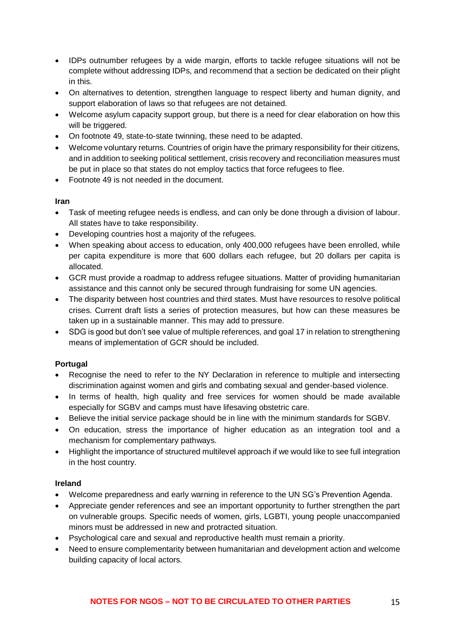- IDPs outnumber refugees by a wide margin, efforts to tackle refugee situations will not be complete without addressing IDPs, and recommend that a section be dedicated on their plight in this.
- On alternatives to detention, strengthen language to respect liberty and human dignity, and support elaboration of laws so that refugees are not detained.
- Welcome asylum capacity support group, but there is a need for clear elaboration on how this will be triggered.
- On footnote 49, state-to-state twinning, these need to be adapted.
- Welcome voluntary returns. Countries of origin have the primary responsibility for their citizens, and in addition to seeking political settlement, crisis recovery and reconciliation measures must be put in place so that states do not employ tactics that force refugees to flee.
- Footnote 49 is not needed in the document.

#### **Iran**

- Task of meeting refugee needs is endless, and can only be done through a division of labour. All states have to take responsibility.
- Developing countries host a majority of the refugees.
- When speaking about access to education, only 400,000 refugees have been enrolled, while per capita expenditure is more that 600 dollars each refugee, but 20 dollars per capita is allocated.
- GCR must provide a roadmap to address refugee situations. Matter of providing humanitarian assistance and this cannot only be secured through fundraising for some UN agencies.
- The disparity between host countries and third states. Must have resources to resolve political crises. Current draft lists a series of protection measures, but how can these measures be taken up in a sustainable manner. This may add to pressure.
- SDG is good but don't see value of multiple references, and goal 17 in relation to strengthening means of implementation of GCR should be included.

## **Portugal**

- Recognise the need to refer to the NY Declaration in reference to multiple and intersecting discrimination against women and girls and combating sexual and gender-based violence.
- In terms of health, high quality and free services for women should be made available especially for SGBV and camps must have lifesaving obstetric care.
- Believe the initial service package should be in line with the minimum standards for SGBV.
- On education, stress the importance of higher education as an integration tool and a mechanism for complementary pathways.
- Highlight the importance of structured multilevel approach if we would like to see full integration in the host country.

## **Ireland**

- Welcome preparedness and early warning in reference to the UN SG's Prevention Agenda.
- Appreciate gender references and see an important opportunity to further strengthen the part on vulnerable groups. Specific needs of women, girls, LGBTI, young people unaccompanied minors must be addressed in new and protracted situation.
- Psychological care and sexual and reproductive health must remain a priority.
- Need to ensure complementarity between humanitarian and development action and welcome building capacity of local actors.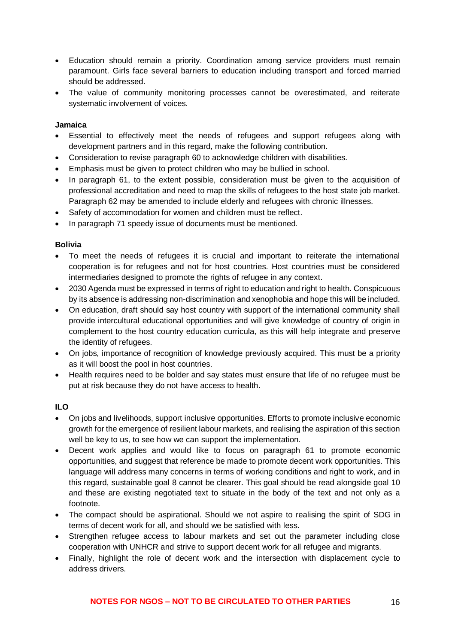- Education should remain a priority. Coordination among service providers must remain paramount. Girls face several barriers to education including transport and forced married should be addressed.
- The value of community monitoring processes cannot be overestimated, and reiterate systematic involvement of voices.

#### **Jamaica**

- Essential to effectively meet the needs of refugees and support refugees along with development partners and in this regard, make the following contribution.
- Consideration to revise paragraph 60 to acknowledge children with disabilities.
- Emphasis must be given to protect children who may be bullied in school.
- In paragraph 61, to the extent possible, consideration must be given to the acquisition of professional accreditation and need to map the skills of refugees to the host state job market. Paragraph 62 may be amended to include elderly and refugees with chronic illnesses.
- Safety of accommodation for women and children must be reflect.
- In paragraph 71 speedy issue of documents must be mentioned.

#### **Bolivia**

- To meet the needs of refugees it is crucial and important to reiterate the international cooperation is for refugees and not for host countries. Host countries must be considered intermediaries designed to promote the rights of refugee in any context.
- 2030 Agenda must be expressed in terms of right to education and right to health. Conspicuous by its absence is addressing non-discrimination and xenophobia and hope this will be included.
- On education, draft should say host country with support of the international community shall provide intercultural educational opportunities and will give knowledge of country of origin in complement to the host country education curricula, as this will help integrate and preserve the identity of refugees.
- On jobs, importance of recognition of knowledge previously acquired. This must be a priority as it will boost the pool in host countries.
- Health requires need to be bolder and say states must ensure that life of no refugee must be put at risk because they do not have access to health.

## **ILO**

- On jobs and livelihoods, support inclusive opportunities. Efforts to promote inclusive economic growth for the emergence of resilient labour markets, and realising the aspiration of this section well be key to us, to see how we can support the implementation.
- Decent work applies and would like to focus on paragraph 61 to promote economic opportunities, and suggest that reference be made to promote decent work opportunities. This language will address many concerns in terms of working conditions and right to work, and in this regard, sustainable goal 8 cannot be clearer. This goal should be read alongside goal 10 and these are existing negotiated text to situate in the body of the text and not only as a footnote.
- The compact should be aspirational. Should we not aspire to realising the spirit of SDG in terms of decent work for all, and should we be satisfied with less.
- Strengthen refugee access to labour markets and set out the parameter including close cooperation with UNHCR and strive to support decent work for all refugee and migrants.
- Finally, highlight the role of decent work and the intersection with displacement cycle to address drivers.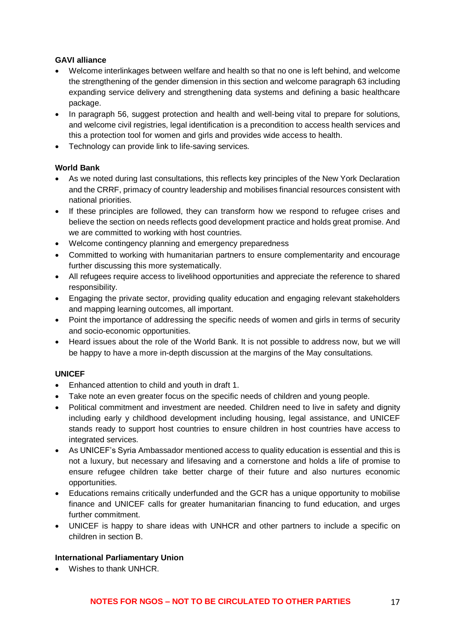## **GAVI alliance**

- Welcome interlinkages between welfare and health so that no one is left behind, and welcome the strengthening of the gender dimension in this section and welcome paragraph 63 including expanding service delivery and strengthening data systems and defining a basic healthcare package.
- In paragraph 56, suggest protection and health and well-being vital to prepare for solutions, and welcome civil registries, legal identification is a precondition to access health services and this a protection tool for women and girls and provides wide access to health.
- Technology can provide link to life-saving services.

## **World Bank**

- As we noted during last consultations, this reflects key principles of the New York Declaration and the CRRF, primacy of country leadership and mobilises financial resources consistent with national priorities.
- If these principles are followed, they can transform how we respond to refugee crises and believe the section on needs reflects good development practice and holds great promise. And we are committed to working with host countries.
- Welcome contingency planning and emergency preparedness
- Committed to working with humanitarian partners to ensure complementarity and encourage further discussing this more systematically.
- All refugees require access to livelihood opportunities and appreciate the reference to shared responsibility.
- Engaging the private sector, providing quality education and engaging relevant stakeholders and mapping learning outcomes, all important.
- Point the importance of addressing the specific needs of women and girls in terms of security and socio-economic opportunities.
- Heard issues about the role of the World Bank. It is not possible to address now, but we will be happy to have a more in-depth discussion at the margins of the May consultations.

## **UNICEF**

- Enhanced attention to child and youth in draft 1.
- Take note an even greater focus on the specific needs of children and young people.
- Political commitment and investment are needed. Children need to live in safety and dignity including early y childhood development including housing, legal assistance, and UNICEF stands ready to support host countries to ensure children in host countries have access to integrated services.
- As UNICEF's Syria Ambassador mentioned access to quality education is essential and this is not a luxury, but necessary and lifesaving and a cornerstone and holds a life of promise to ensure refugee children take better charge of their future and also nurtures economic opportunities.
- Educations remains critically underfunded and the GCR has a unique opportunity to mobilise finance and UNICEF calls for greater humanitarian financing to fund education, and urges further commitment.
- UNICEF is happy to share ideas with UNHCR and other partners to include a specific on children in section B.

## **International Parliamentary Union**

• Wishes to thank UNHCR.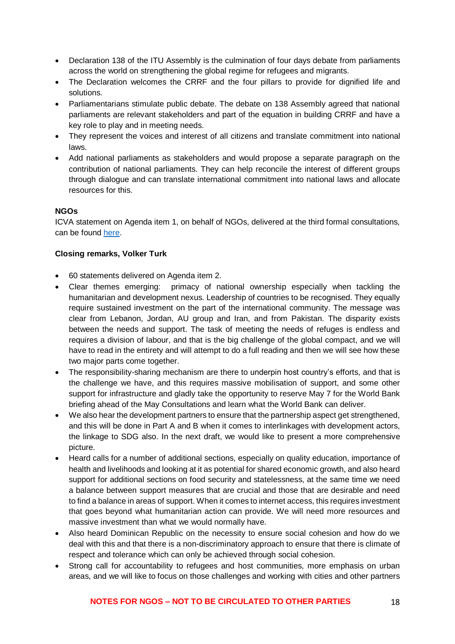- Declaration 138 of the ITU Assembly is the culmination of four days debate from parliaments across the world on strengthening the global regime for refugees and migrants.
- The Declaration welcomes the CRRF and the four pillars to provide for dignified life and solutions.
- Parliamentarians stimulate public debate. The debate on 138 Assembly agreed that national parliaments are relevant stakeholders and part of the equation in building CRRF and have a key role to play and in meeting needs.
- They represent the voices and interest of all citizens and translate commitment into national laws.
- Add national parliaments as stakeholders and would propose a separate paragraph on the contribution of national parliaments. They can help reconcile the interest of different groups through dialogue and can translate international commitment into national laws and allocate resources for this.

## **NGOs**

ICVA statement on Agenda item 1, on behalf of NGOs, delivered at the third formal consultations, can be found [here.](https://www.icvanetwork.org/system/files/versions/Agenda2_Third_Formal_Consultations_GCR_WRITTEN_Apr2018.pdf)

## **Closing remarks, Volker Turk**

- 60 statements delivered on Agenda item 2.
- Clear themes emerging: primacy of national ownership especially when tackling the humanitarian and development nexus. Leadership of countries to be recognised. They equally require sustained investment on the part of the international community. The message was clear from Lebanon, Jordan, AU group and Iran, and from Pakistan. The disparity exists between the needs and support. The task of meeting the needs of refuges is endless and requires a division of labour, and that is the big challenge of the global compact, and we will have to read in the entirety and will attempt to do a full reading and then we will see how these two major parts come together.
- The responsibility-sharing mechanism are there to underpin host country's efforts, and that is the challenge we have, and this requires massive mobilisation of support, and some other support for infrastructure and gladly take the opportunity to reserve May 7 for the World Bank briefing ahead of the May Consultations and learn what the World Bank can deliver.
- We also hear the development partners to ensure that the partnership aspect get strengthened, and this will be done in Part A and B when it comes to interlinkages with development actors, the linkage to SDG also. In the next draft, we would like to present a more comprehensive picture.
- Heard calls for a number of additional sections, especially on quality education, importance of health and livelihoods and looking at it as potential for shared economic growth, and also heard support for additional sections on food security and statelessness, at the same time we need a balance between support measures that are crucial and those that are desirable and need to find a balance in areas of support. When it comes to internet access, this requires investment that goes beyond what humanitarian action can provide. We will need more resources and massive investment than what we would normally have.
- Also heard Dominican Republic on the necessity to ensure social cohesion and how do we deal with this and that there is a non-discriminatory approach to ensure that there is climate of respect and tolerance which can only be achieved through social cohesion.
- Strong call for accountability to refugees and host communities, more emphasis on urban areas, and we will like to focus on those challenges and working with cities and other partners